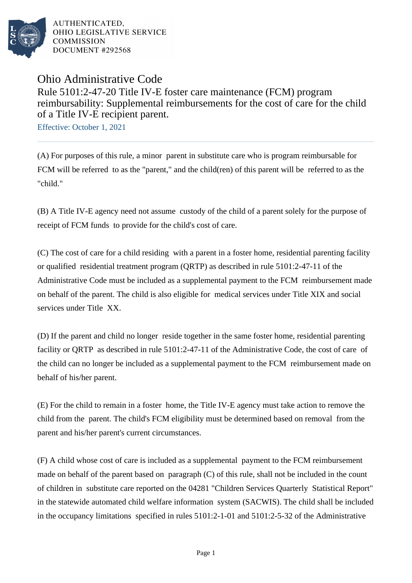

AUTHENTICATED. OHIO LEGISLATIVE SERVICE **COMMISSION** DOCUMENT #292568

## Ohio Administrative Code Rule 5101:2-47-20 Title IV-E foster care maintenance (FCM) program reimbursability: Supplemental reimbursements for the cost of care for the child of a Title IV-E recipient parent.

Effective: October 1, 2021

(A) For purposes of this rule, a minor parent in substitute care who is program reimbursable for FCM will be referred to as the "parent," and the child(ren) of this parent will be referred to as the "child."

(B) A Title IV-E agency need not assume custody of the child of a parent solely for the purpose of receipt of FCM funds to provide for the child's cost of care.

(C) The cost of care for a child residing with a parent in a foster home, residential parenting facility or qualified residential treatment program (QRTP) as described in rule 5101:2-47-11 of the Administrative Code must be included as a supplemental payment to the FCM reimbursement made on behalf of the parent. The child is also eligible for medical services under Title XIX and social services under Title XX.

(D) If the parent and child no longer reside together in the same foster home, residential parenting facility or QRTP as described in rule 5101:2-47-11 of the Administrative Code, the cost of care of the child can no longer be included as a supplemental payment to the FCM reimbursement made on behalf of his/her parent.

(E) For the child to remain in a foster home, the Title IV-E agency must take action to remove the child from the parent. The child's FCM eligibility must be determined based on removal from the parent and his/her parent's current circumstances.

(F) A child whose cost of care is included as a supplemental payment to the FCM reimbursement made on behalf of the parent based on paragraph (C) of this rule, shall not be included in the count of children in substitute care reported on the 04281 "Children Services Quarterly Statistical Report" in the statewide automated child welfare information system (SACWIS). The child shall be included in the occupancy limitations specified in rules 5101:2-1-01 and 5101:2-5-32 of the Administrative